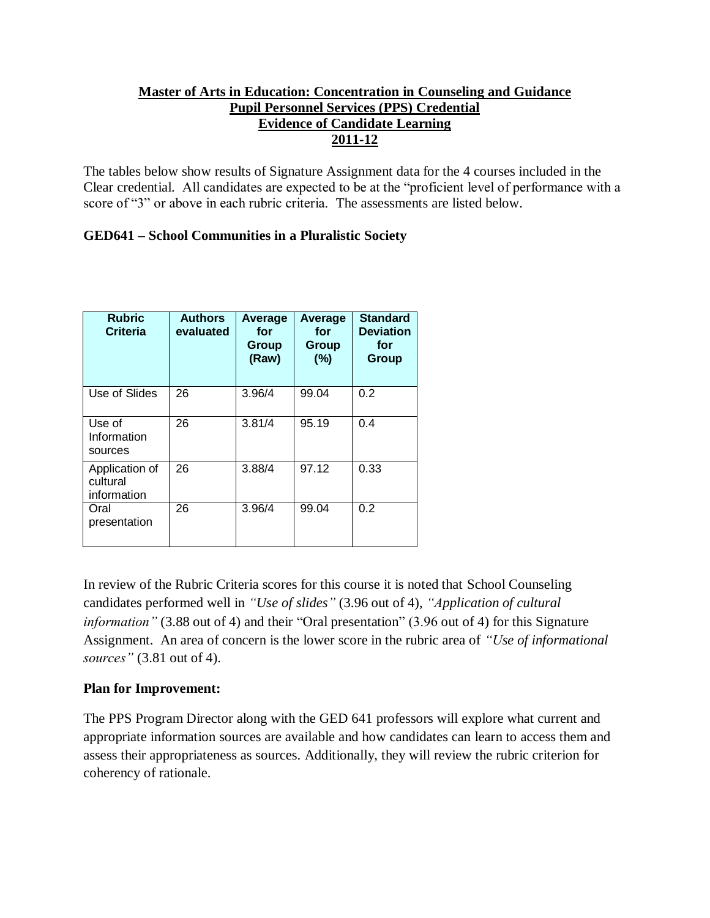## **Master of Arts in Education: Concentration in Counseling and Guidance Pupil Personnel Services (PPS) Credential Evidence of Candidate Learning 2011-12**

The tables below show results of Signature Assignment data for the 4 courses included in the Clear credential. All candidates are expected to be at the "proficient level of performance with a score of "3" or above in each rubric criteria. The assessments are listed below.

## **GED641 – School Communities in a Pluralistic Society**

| <b>Rubric</b><br><b>Criteria</b>          | <b>Authors</b><br>evaluated | Average<br>for<br>Group<br>(Raw) | Average<br>for<br>Group<br>(%) | <b>Standard</b><br><b>Deviation</b><br>for<br>Group |
|-------------------------------------------|-----------------------------|----------------------------------|--------------------------------|-----------------------------------------------------|
| Use of Slides                             | 26                          | 3.96/4                           | 99.04                          | 0.2                                                 |
| Use of<br>Information<br>sources          | 26                          | 3.81/4                           | 95.19                          | 0.4                                                 |
| Application of<br>cultural<br>information | 26                          | 3.88/4                           | 97.12                          | 0.33                                                |
| Oral<br>presentation                      | 26                          | 3.96/4                           | 99.04                          | 0.2                                                 |

In review of the Rubric Criteria scores for this course it is noted that School Counseling candidates performed well in *"Use of slides"* (3.96 out of 4), *"Application of cultural information"* (3.88 out of 4) and their "Oral presentation" (3.96 out of 4) for this Signature Assignment. An area of concern is the lower score in the rubric area of *"Use of informational sources"* (3.81 out of 4).

#### **Plan for Improvement:**

The PPS Program Director along with the GED 641 professors will explore what current and appropriate information sources are available and how candidates can learn to access them and assess their appropriateness as sources. Additionally, they will review the rubric criterion for coherency of rationale.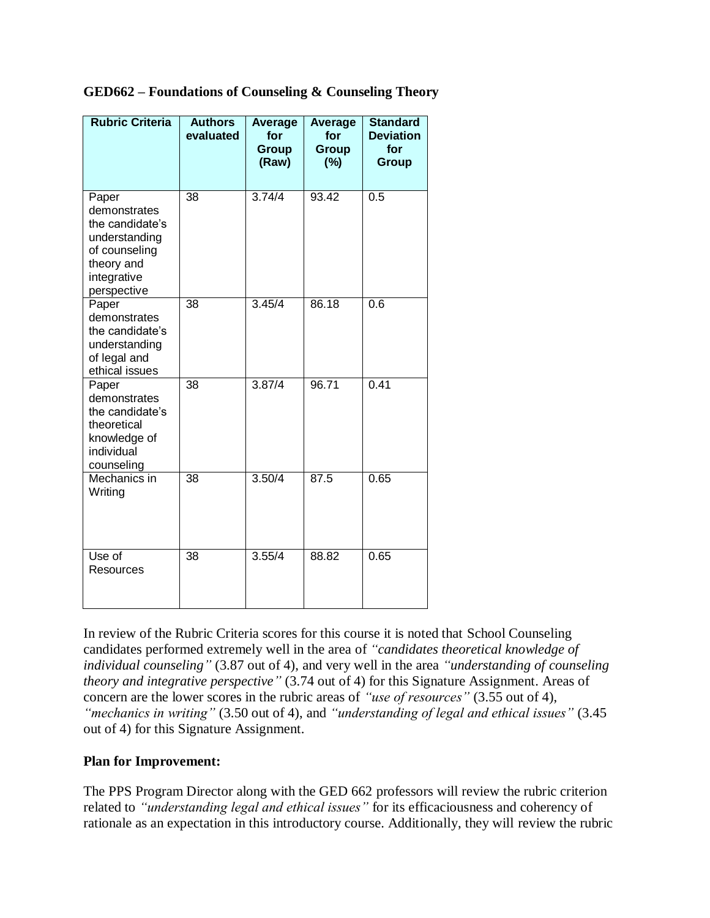#### **GED662 – Foundations of Counseling & Counseling Theory**

| <b>Rubric Criteria</b>                                                                                                 | <b>Authors</b><br>evaluated | <b>Average</b><br>for<br>Group<br>(Raw) | <b>Average</b><br>for<br>Group<br>(%) | <b>Standard</b><br><b>Deviation</b><br>for<br><b>Group</b> |
|------------------------------------------------------------------------------------------------------------------------|-----------------------------|-----------------------------------------|---------------------------------------|------------------------------------------------------------|
| Paper<br>demonstrates<br>the candidate's<br>understanding<br>of counseling<br>theory and<br>integrative<br>perspective | 38                          | 3.74/4                                  | $93.\overline{42}$                    | $\overline{0.5}$                                           |
| Paper<br>demonstrates<br>the candidate's<br>understanding<br>of legal and<br>ethical issues                            | 38                          | 3.45/4                                  | 86.18                                 | 0.6                                                        |
| Paper<br>demonstrates<br>the candidate's<br>theoretical<br>knowledge of<br>individual<br>counseling                    | 38                          | 3.87/4                                  | 96.71                                 | 0.41                                                       |
| Mechanics in<br>Writing                                                                                                | 38                          | 3.50/4                                  | 87.5                                  | 0.65                                                       |
| Use of<br><b>Resources</b>                                                                                             | 38                          | 3.55/4                                  | 88.82                                 | 0.65                                                       |

In review of the Rubric Criteria scores for this course it is noted that School Counseling candidates performed extremely well in the area of *"candidates theoretical knowledge of individual counseling"* (3.87 out of 4), and very well in the area *"understanding of counseling theory and integrative perspective"* (3.74 out of 4) for this Signature Assignment. Areas of concern are the lower scores in the rubric areas of *"use of resources"* (3.55 out of 4), *"mechanics in writing"* (3.50 out of 4), and *"understanding of legal and ethical issues"* (3.45 out of 4) for this Signature Assignment.

# **Plan for Improvement:**

The PPS Program Director along with the GED 662 professors will review the rubric criterion related to *"understanding legal and ethical issues"* for its efficaciousness and coherency of rationale as an expectation in this introductory course. Additionally, they will review the rubric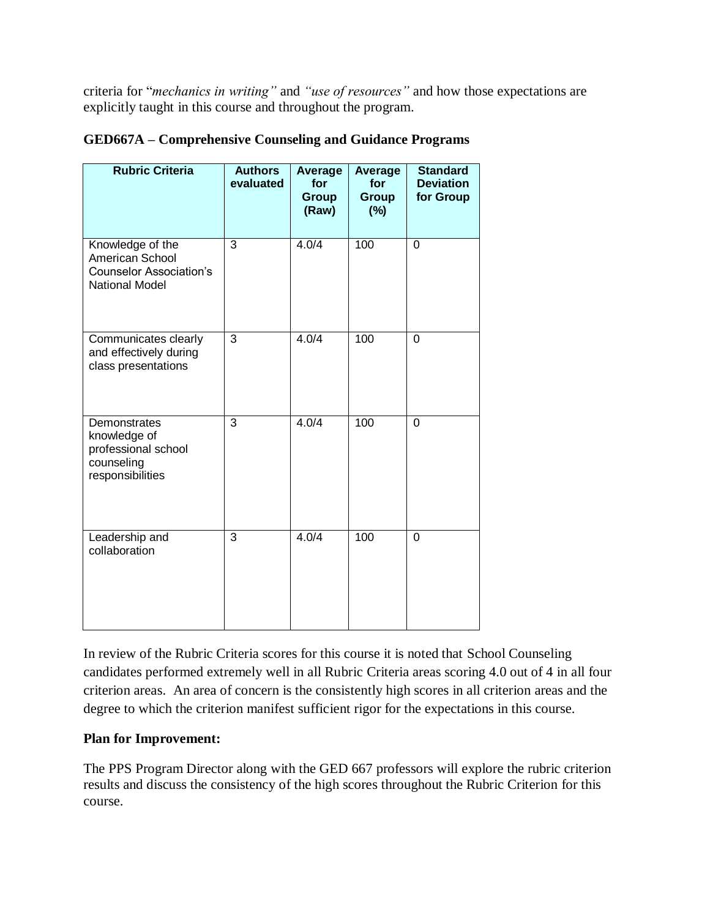criteria for "*mechanics in writing"* and *"use of resources"* and how those expectations are explicitly taught in this course and throughout the program.

| <b>Rubric Criteria</b>                                                                         | <b>Authors</b><br>evaluated | Average<br>for<br><b>Group</b><br>(Raw) | Average<br>for<br><b>Group</b><br>(%) | <b>Standard</b><br><b>Deviation</b><br>for Group |
|------------------------------------------------------------------------------------------------|-----------------------------|-----------------------------------------|---------------------------------------|--------------------------------------------------|
| Knowledge of the<br>American School<br><b>Counselor Association's</b><br><b>National Model</b> | $\overline{3}$              | 4.0/4                                   | 100                                   | $\overline{0}$                                   |
| Communicates clearly<br>and effectively during<br>class presentations                          | 3                           | 4.0/4                                   | 100                                   | $\Omega$                                         |
| Demonstrates<br>knowledge of<br>professional school<br>counseling<br>responsibilities          | 3                           | 4.0/4                                   | 100                                   | 0                                                |
| Leadership and<br>collaboration                                                                | $\overline{3}$              | 4.0/4                                   | 100                                   | $\overline{0}$                                   |

# **GED667A – Comprehensive Counseling and Guidance Programs**

In review of the Rubric Criteria scores for this course it is noted that School Counseling candidates performed extremely well in all Rubric Criteria areas scoring 4.0 out of 4 in all four criterion areas. An area of concern is the consistently high scores in all criterion areas and the degree to which the criterion manifest sufficient rigor for the expectations in this course.

# **Plan for Improvement:**

The PPS Program Director along with the GED 667 professors will explore the rubric criterion results and discuss the consistency of the high scores throughout the Rubric Criterion for this course.